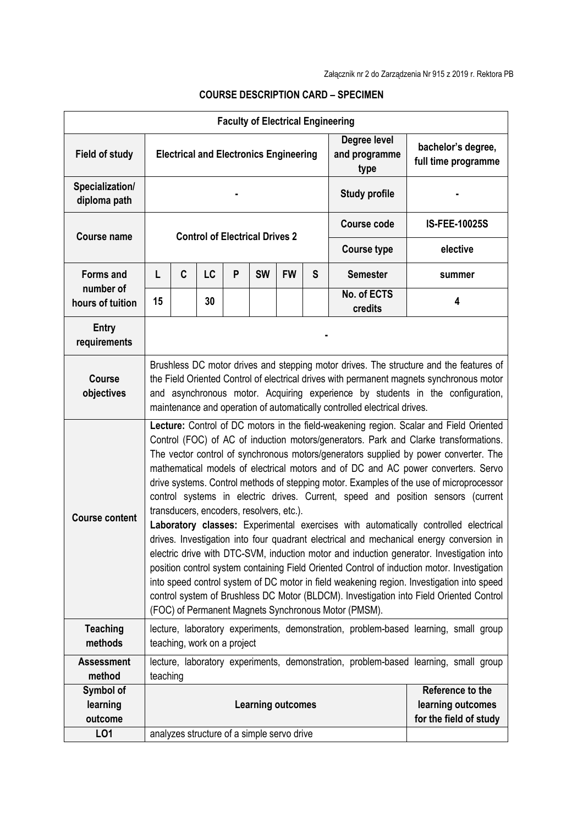| <b>Faculty of Electrical Engineering</b>          |                                                                                                                                                                                                                                                                                                                                                                                                                                                                                                                                                                                                                                                                                                                                                                                                                                                                                                                                                                                                                                                                                                                                                                                                                     |   |           |   |                                       |           |                      |                                       |                                                                                     |
|---------------------------------------------------|---------------------------------------------------------------------------------------------------------------------------------------------------------------------------------------------------------------------------------------------------------------------------------------------------------------------------------------------------------------------------------------------------------------------------------------------------------------------------------------------------------------------------------------------------------------------------------------------------------------------------------------------------------------------------------------------------------------------------------------------------------------------------------------------------------------------------------------------------------------------------------------------------------------------------------------------------------------------------------------------------------------------------------------------------------------------------------------------------------------------------------------------------------------------------------------------------------------------|---|-----------|---|---------------------------------------|-----------|----------------------|---------------------------------------|-------------------------------------------------------------------------------------|
| <b>Field of study</b>                             | <b>Electrical and Electronics Engineering</b>                                                                                                                                                                                                                                                                                                                                                                                                                                                                                                                                                                                                                                                                                                                                                                                                                                                                                                                                                                                                                                                                                                                                                                       |   |           |   |                                       |           |                      | Degree level<br>and programme<br>type | bachelor's degree,<br>full time programme                                           |
| Specialization/<br>diploma path                   |                                                                                                                                                                                                                                                                                                                                                                                                                                                                                                                                                                                                                                                                                                                                                                                                                                                                                                                                                                                                                                                                                                                                                                                                                     |   |           |   |                                       |           | <b>Study profile</b> |                                       |                                                                                     |
| <b>Course name</b>                                |                                                                                                                                                                                                                                                                                                                                                                                                                                                                                                                                                                                                                                                                                                                                                                                                                                                                                                                                                                                                                                                                                                                                                                                                                     |   |           |   | <b>Control of Electrical Drives 2</b> |           | <b>Course code</b>   | <b>IS-FEE-10025S</b>                  |                                                                                     |
|                                                   |                                                                                                                                                                                                                                                                                                                                                                                                                                                                                                                                                                                                                                                                                                                                                                                                                                                                                                                                                                                                                                                                                                                                                                                                                     |   |           |   |                                       |           | <b>Course type</b>   | elective                              |                                                                                     |
| <b>Forms and</b><br>number of<br>hours of tuition | L                                                                                                                                                                                                                                                                                                                                                                                                                                                                                                                                                                                                                                                                                                                                                                                                                                                                                                                                                                                                                                                                                                                                                                                                                   | C | <b>LC</b> | P | <b>SW</b>                             | <b>FW</b> | S                    | <b>Semester</b>                       | summer                                                                              |
|                                                   | 15                                                                                                                                                                                                                                                                                                                                                                                                                                                                                                                                                                                                                                                                                                                                                                                                                                                                                                                                                                                                                                                                                                                                                                                                                  |   | 30        |   |                                       |           |                      | No. of ECTS<br>credits                | 4                                                                                   |
| <b>Entry</b><br>requirements                      |                                                                                                                                                                                                                                                                                                                                                                                                                                                                                                                                                                                                                                                                                                                                                                                                                                                                                                                                                                                                                                                                                                                                                                                                                     |   |           |   |                                       |           |                      |                                       |                                                                                     |
| <b>Course</b><br>objectives                       | Brushless DC motor drives and stepping motor drives. The structure and the features of<br>the Field Oriented Control of electrical drives with permanent magnets synchronous motor<br>and asynchronous motor. Acquiring experience by students in the configuration,<br>maintenance and operation of automatically controlled electrical drives.                                                                                                                                                                                                                                                                                                                                                                                                                                                                                                                                                                                                                                                                                                                                                                                                                                                                    |   |           |   |                                       |           |                      |                                       |                                                                                     |
| <b>Course content</b>                             | Lecture: Control of DC motors in the field-weakening region. Scalar and Field Oriented<br>Control (FOC) of AC of induction motors/generators. Park and Clarke transformations.<br>The vector control of synchronous motors/generators supplied by power converter. The<br>mathematical models of electrical motors and of DC and AC power converters. Servo<br>drive systems. Control methods of stepping motor. Examples of the use of microprocessor<br>control systems in electric drives. Current, speed and position sensors (current<br>transducers, encoders, resolvers, etc.).<br>Laboratory classes: Experimental exercises with automatically controlled electrical<br>drives. Investigation into four quadrant electrical and mechanical energy conversion in<br>electric drive with DTC-SVM, induction motor and induction generator. Investigation into<br>position control system containing Field Oriented Control of induction motor. Investigation<br>into speed control system of DC motor in field weakening region. Investigation into speed<br>control system of Brushless DC Motor (BLDCM). Investigation into Field Oriented Control<br>(FOC) of Permanent Magnets Synchronous Motor (PMSM). |   |           |   |                                       |           |                      |                                       |                                                                                     |
| <b>Teaching</b><br>methods                        | lecture, laboratory experiments, demonstration, problem-based learning, small group<br>teaching, work on a project                                                                                                                                                                                                                                                                                                                                                                                                                                                                                                                                                                                                                                                                                                                                                                                                                                                                                                                                                                                                                                                                                                  |   |           |   |                                       |           |                      |                                       |                                                                                     |
| <b>Assessment</b><br>method                       | teaching                                                                                                                                                                                                                                                                                                                                                                                                                                                                                                                                                                                                                                                                                                                                                                                                                                                                                                                                                                                                                                                                                                                                                                                                            |   |           |   |                                       |           |                      |                                       | lecture, laboratory experiments, demonstration, problem-based learning, small group |
| Symbol of<br>learning<br>outcome<br><b>LO1</b>    | Reference to the<br><b>Learning outcomes</b><br>learning outcomes<br>for the field of study<br>analyzes structure of a simple servo drive                                                                                                                                                                                                                                                                                                                                                                                                                                                                                                                                                                                                                                                                                                                                                                                                                                                                                                                                                                                                                                                                           |   |           |   |                                       |           |                      |                                       |                                                                                     |

## **COURSE DESCRIPTION CARD – SPECIMEN**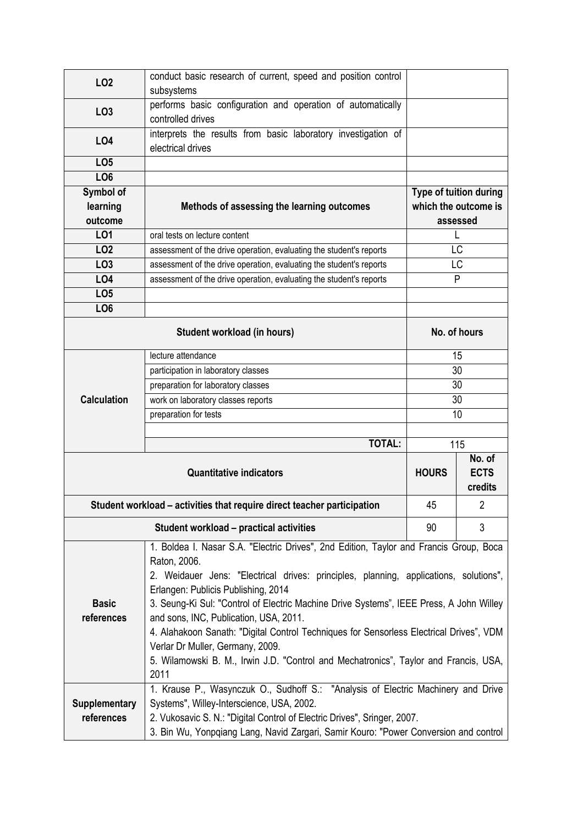| LO <sub>2</sub>                                                         | conduct basic research of current, speed and position control<br>subsystems                                                                                                                                                                                                                                                                                                                                                                                                                                                                                                                                |                                                                   |     |  |  |  |
|-------------------------------------------------------------------------|------------------------------------------------------------------------------------------------------------------------------------------------------------------------------------------------------------------------------------------------------------------------------------------------------------------------------------------------------------------------------------------------------------------------------------------------------------------------------------------------------------------------------------------------------------------------------------------------------------|-------------------------------------------------------------------|-----|--|--|--|
| LO <sub>3</sub>                                                         | performs basic configuration and operation of automatically<br>controlled drives                                                                                                                                                                                                                                                                                                                                                                                                                                                                                                                           |                                                                   |     |  |  |  |
| <b>LO4</b>                                                              | interprets the results from basic laboratory investigation of<br>electrical drives                                                                                                                                                                                                                                                                                                                                                                                                                                                                                                                         |                                                                   |     |  |  |  |
| LO <sub>5</sub>                                                         |                                                                                                                                                                                                                                                                                                                                                                                                                                                                                                                                                                                                            |                                                                   |     |  |  |  |
| LO <sub>6</sub>                                                         |                                                                                                                                                                                                                                                                                                                                                                                                                                                                                                                                                                                                            |                                                                   |     |  |  |  |
| Symbol of<br>learning<br>outcome                                        | Methods of assessing the learning outcomes                                                                                                                                                                                                                                                                                                                                                                                                                                                                                                                                                                 | <b>Type of tuition during</b><br>which the outcome is<br>assessed |     |  |  |  |
| L01                                                                     | oral tests on lecture content                                                                                                                                                                                                                                                                                                                                                                                                                                                                                                                                                                              |                                                                   |     |  |  |  |
| LO <sub>2</sub>                                                         | assessment of the drive operation, evaluating the student's reports                                                                                                                                                                                                                                                                                                                                                                                                                                                                                                                                        | LC                                                                |     |  |  |  |
| LO <sub>3</sub>                                                         | assessment of the drive operation, evaluating the student's reports                                                                                                                                                                                                                                                                                                                                                                                                                                                                                                                                        | LC                                                                |     |  |  |  |
| LO <sub>4</sub>                                                         | assessment of the drive operation, evaluating the student's reports                                                                                                                                                                                                                                                                                                                                                                                                                                                                                                                                        | P                                                                 |     |  |  |  |
| LO <sub>5</sub>                                                         |                                                                                                                                                                                                                                                                                                                                                                                                                                                                                                                                                                                                            |                                                                   |     |  |  |  |
| LO <sub>6</sub>                                                         |                                                                                                                                                                                                                                                                                                                                                                                                                                                                                                                                                                                                            |                                                                   |     |  |  |  |
|                                                                         | No. of hours                                                                                                                                                                                                                                                                                                                                                                                                                                                                                                                                                                                               |                                                                   |     |  |  |  |
|                                                                         | lecture attendance                                                                                                                                                                                                                                                                                                                                                                                                                                                                                                                                                                                         | 15                                                                |     |  |  |  |
|                                                                         | participation in laboratory classes                                                                                                                                                                                                                                                                                                                                                                                                                                                                                                                                                                        | 30                                                                |     |  |  |  |
|                                                                         | preparation for laboratory classes                                                                                                                                                                                                                                                                                                                                                                                                                                                                                                                                                                         | 30                                                                |     |  |  |  |
| <b>Calculation</b>                                                      | work on laboratory classes reports                                                                                                                                                                                                                                                                                                                                                                                                                                                                                                                                                                         | 30                                                                |     |  |  |  |
|                                                                         | preparation for tests                                                                                                                                                                                                                                                                                                                                                                                                                                                                                                                                                                                      | 10                                                                |     |  |  |  |
|                                                                         |                                                                                                                                                                                                                                                                                                                                                                                                                                                                                                                                                                                                            |                                                                   | 115 |  |  |  |
|                                                                         | <b>TOTAL:</b>                                                                                                                                                                                                                                                                                                                                                                                                                                                                                                                                                                                              |                                                                   |     |  |  |  |
|                                                                         | <b>HOURS</b>                                                                                                                                                                                                                                                                                                                                                                                                                                                                                                                                                                                               | No. of<br><b>ECTS</b><br>credits                                  |     |  |  |  |
| Student workload - activities that require direct teacher participation | 45                                                                                                                                                                                                                                                                                                                                                                                                                                                                                                                                                                                                         | $\overline{2}$                                                    |     |  |  |  |
|                                                                         | <b>Student workload - practical activities</b>                                                                                                                                                                                                                                                                                                                                                                                                                                                                                                                                                             | 90                                                                | 3   |  |  |  |
| <b>Basic</b><br>references                                              | 1. Boldea I. Nasar S.A. "Electric Drives", 2nd Edition, Taylor and Francis Group, Boca<br>Raton, 2006.<br>2. Weidauer Jens: "Electrical drives: principles, planning, applications, solutions",<br>Erlangen: Publicis Publishing, 2014<br>3. Seung-Ki Sul: "Control of Electric Machine Drive Systems", IEEE Press, A John Willey<br>and sons, INC, Publication, USA, 2011.<br>4. Alahakoon Sanath: "Digital Control Techniques for Sensorless Electrical Drives", VDM<br>Verlar Dr Muller, Germany, 2009.<br>5. Wilamowski B. M., Irwin J.D. "Control and Mechatronics", Taylor and Francis, USA,<br>2011 |                                                                   |     |  |  |  |
| <b>Supplementary</b><br>references                                      | 1. Krause P., Wasynczuk O., Sudhoff S.: "Analysis of Electric Machinery and Drive<br>Systems", Willey-Interscience, USA, 2002.<br>2. Vukosavic S. N.: "Digital Control of Electric Drives", Sringer, 2007.<br>3. Bin Wu, Yonpqiang Lang, Navid Zargari, Samir Kouro: "Power Conversion and control                                                                                                                                                                                                                                                                                                         |                                                                   |     |  |  |  |